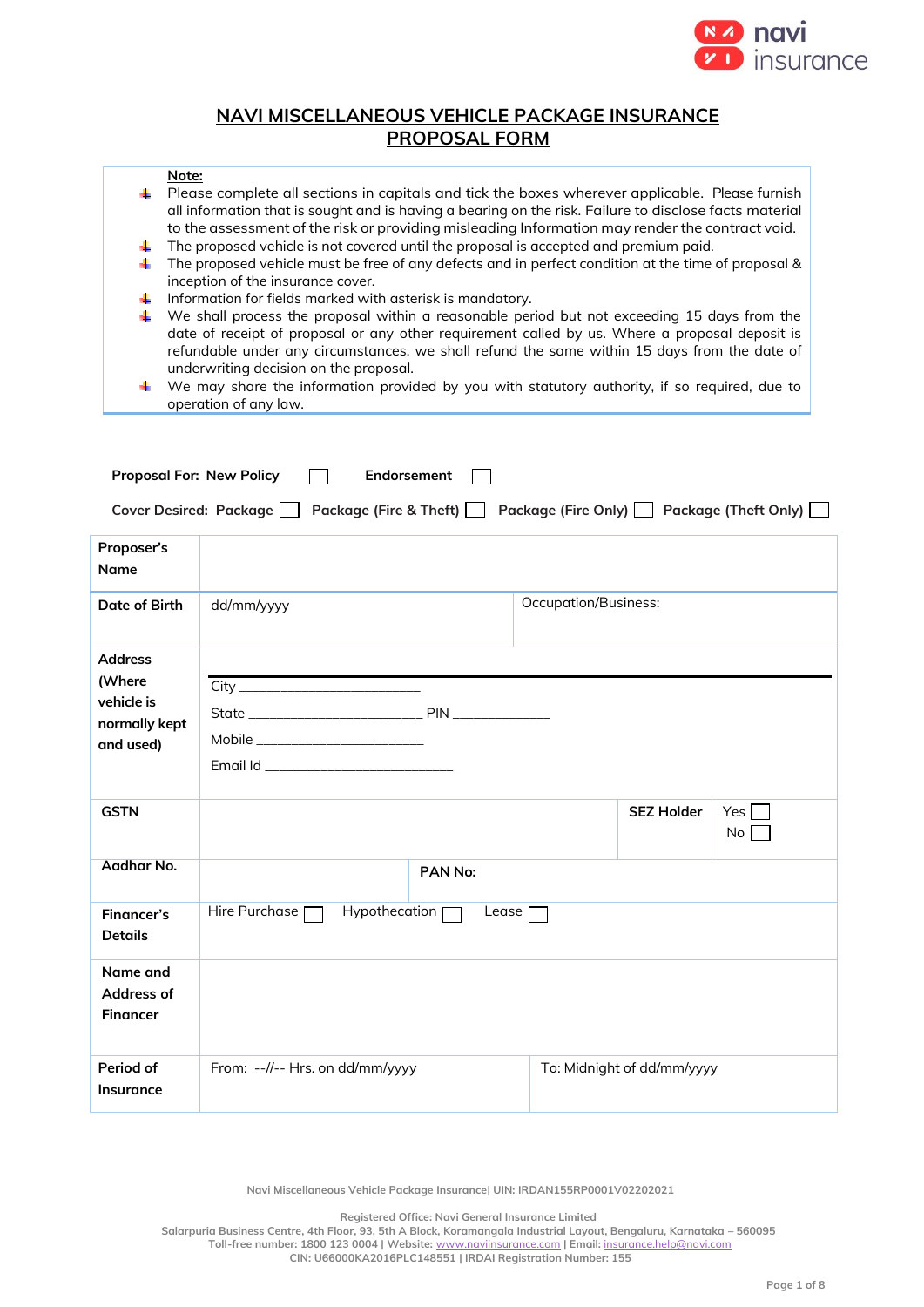

# **NAVI MISCELLANEOUS VEHICLE PACKAGE INSURANCE PROPOSAL FORM**

### **Note:**

- Please complete all sections in capitals and tick the boxes wherever applicable. Please furnish all information that is sought and is having a bearing on the risk. Failure to disclose facts material to the assessment of the risk or providing misleading Information may render the contract void.
- 41. The proposed vehicle is not covered until the proposal is accepted and premium paid.
- The proposed vehicle must be free of any defects and in perfect condition at the time of proposal & inception of the insurance cover.
- $\ddot{\phantom{1}}$  Information for fields marked with asterisk is mandatory.
- We shall process the proposal within a reasonable period but not exceeding 15 days from the date of receipt of proposal or any other requirement called by us. Where a proposal deposit is refundable under any circumstances, we shall refund the same within 15 days from the date of underwriting decision on the proposal.
- $\ddot{}$ We may share the information provided by you with statutory authority, if so required, due to operation of any law.

| <b>Proposal For: New Policy</b>                                                              | Endorsement                        |                   |                             |                            |             |
|----------------------------------------------------------------------------------------------|------------------------------------|-------------------|-----------------------------|----------------------------|-------------|
| Package (Fire Only) Package (Theft Only)<br>Cover Desired: Package<br>Package (Fire & Theft) |                                    |                   |                             |                            |             |
| Proposer's<br>Name                                                                           |                                    |                   |                             |                            |             |
| Date of Birth                                                                                | dd/mm/yyyy                         |                   | <b>Occupation/Business:</b> |                            |             |
| <b>Address</b><br>(Where<br>vehicle is<br>normally kept<br>and used)                         | Mobile ___________________________ |                   |                             |                            |             |
| <b>GSTN</b>                                                                                  |                                    |                   |                             | <b>SEZ Holder</b>          | Yes  <br>No |
| Aadhar No.                                                                                   | PAN No:                            |                   |                             |                            |             |
| <b>Financer's</b><br><b>Details</b>                                                          | Hire Purchase [<br>Hypothecation [ | Lease <sup></sup> |                             |                            |             |
| Name and<br>Address of<br><b>Financer</b>                                                    |                                    |                   |                             |                            |             |
| Period of<br><b>Insurance</b>                                                                | From: --//-- Hrs. on dd/mm/yyyy    |                   |                             | To: Midnight of dd/mm/yyyy |             |

**Navi Miscellaneous Vehicle Package Insurance| UIN: IRDAN155RP0001V02202021**

**Registered Office: Navi General Insurance Limited**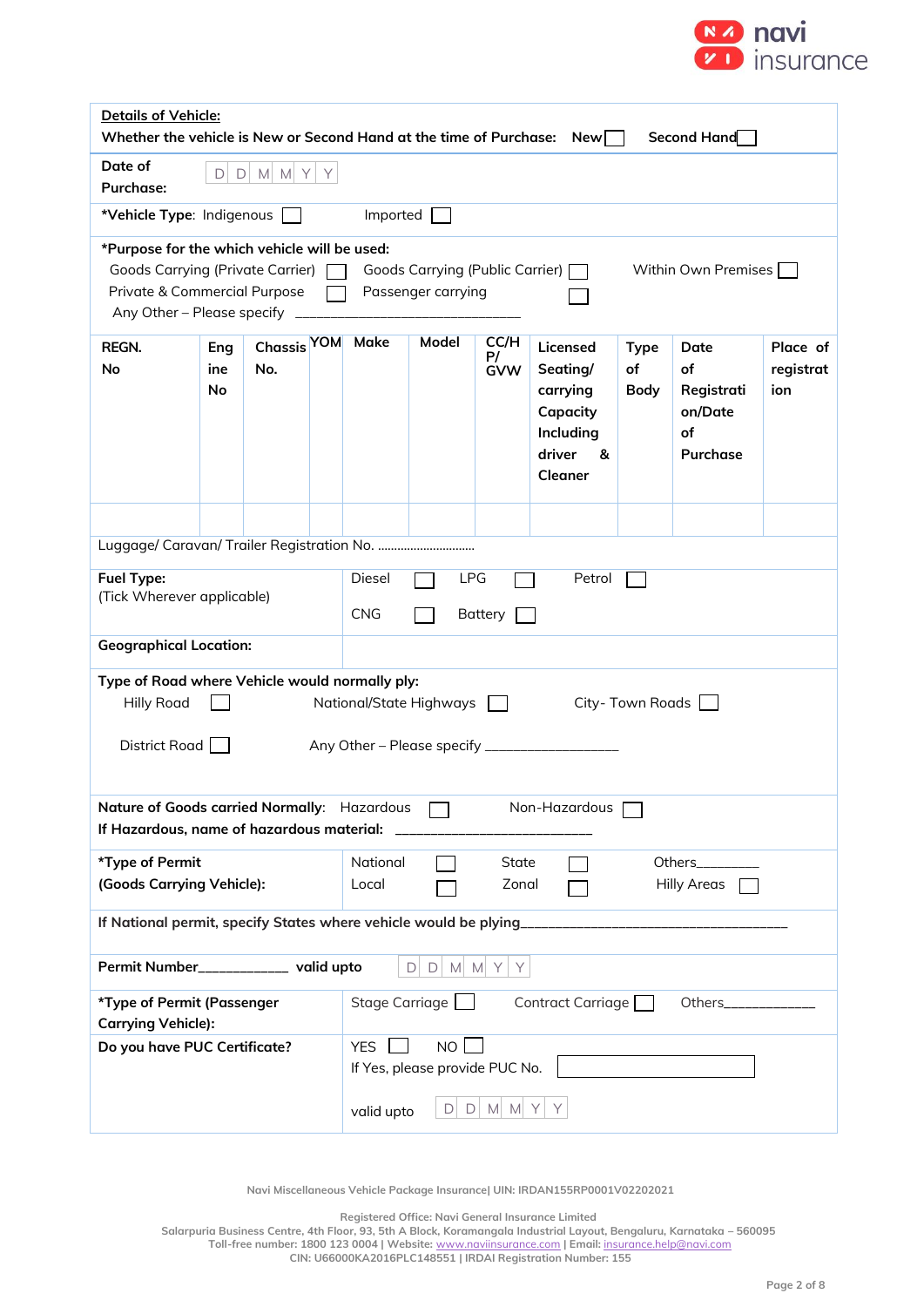

|                                                                                                                                                                    | Details of Vehicle:<br>Whether the vehicle is New or Second Hand at the time of Purchase:<br>Second Hand<br>New |                               |                                                                                |                                                           |                                                         |                          |                                                                                     |                                  |                                                       |                              |
|--------------------------------------------------------------------------------------------------------------------------------------------------------------------|-----------------------------------------------------------------------------------------------------------------|-------------------------------|--------------------------------------------------------------------------------|-----------------------------------------------------------|---------------------------------------------------------|--------------------------|-------------------------------------------------------------------------------------|----------------------------------|-------------------------------------------------------|------------------------------|
| Date of<br><b>Purchase:</b>                                                                                                                                        | $\Box$<br>D                                                                                                     | $M$ $M$ $Y$                   | Y                                                                              |                                                           |                                                         |                          |                                                                                     |                                  |                                                       |                              |
| *Vehicle Type: Indigenous                                                                                                                                          |                                                                                                                 |                               |                                                                                | Imported                                                  |                                                         |                          |                                                                                     |                                  |                                                       |                              |
| *Purpose for the which vehicle will be used:<br><b>Goods Carrying (Private Carrier)</b><br>Private & Commercial Purpose<br>Any Other - Please specify              |                                                                                                                 |                               |                                                                                |                                                           | Goods Carrying (Public Carrier) [<br>Passenger carrying |                          |                                                                                     |                                  | Within Own Premises [                                 |                              |
| REGN.<br>No                                                                                                                                                        | Eng<br>ine<br><b>No</b>                                                                                         | Chassis <sup>YOM</sup><br>No. |                                                                                | <b>Make</b>                                               | <b>Model</b>                                            | CC/H<br>P/<br><b>GVW</b> | Licensed<br>Seating/<br>carrying<br>Capacity<br>Including<br>driver<br>&<br>Cleaner | <b>Type</b><br>of<br><b>Body</b> | Date<br>of<br>Registrati<br>on/Date<br>of<br>Purchase | Place of<br>registrat<br>ion |
|                                                                                                                                                                    |                                                                                                                 |                               |                                                                                |                                                           |                                                         |                          |                                                                                     |                                  |                                                       |                              |
| Fuel Type:<br>(Tick Wherever applicable)                                                                                                                           |                                                                                                                 |                               | <b>Diesel</b><br><b>LPG</b><br>Petrol<br><b>CNG</b><br><b>Battery</b>          |                                                           |                                                         |                          |                                                                                     |                                  |                                                       |                              |
|                                                                                                                                                                    | <b>Geographical Location:</b>                                                                                   |                               |                                                                                |                                                           |                                                         |                          |                                                                                     |                                  |                                                       |                              |
| Type of Road where Vehicle would normally ply:<br><b>Hilly Road</b><br>National/State Highways<br>City-Town Roads<br>District Road<br>Any Other - Please specify _ |                                                                                                                 |                               |                                                                                |                                                           |                                                         |                          |                                                                                     |                                  |                                                       |                              |
| Nature of Goods carried Normally: Hazardous<br>Non-Hazardous<br>If Hazardous, name of hazardous material:                                                          |                                                                                                                 |                               |                                                                                |                                                           |                                                         |                          |                                                                                     |                                  |                                                       |                              |
| *Type of Permit<br>(Goods Carrying Vehicle):                                                                                                                       |                                                                                                                 |                               | National<br>State<br>Others___________<br>Local<br>Zonal<br><b>Hilly Areas</b> |                                                           |                                                         |                          |                                                                                     |                                  |                                                       |                              |
|                                                                                                                                                                    |                                                                                                                 |                               |                                                                                |                                                           |                                                         |                          |                                                                                     |                                  |                                                       |                              |
|                                                                                                                                                                    | Permit Number____________ valid upto<br>$\Box$<br>$D$ M M Y<br>Y                                                |                               |                                                                                |                                                           |                                                         |                          |                                                                                     |                                  |                                                       |                              |
| *Type of Permit (Passenger<br><b>Carrying Vehicle):</b>                                                                                                            |                                                                                                                 |                               |                                                                                | Stage Carriage                                            |                                                         |                          | Contract Carriage                                                                   |                                  | Others______________                                  |                              |
| Do you have PUC Certificate?                                                                                                                                       |                                                                                                                 |                               |                                                                                | <b>NO</b><br><b>YES</b><br>If Yes, please provide PUC No. |                                                         |                          |                                                                                     |                                  |                                                       |                              |
|                                                                                                                                                                    |                                                                                                                 |                               | valid upto                                                                     | $D \mid$                                                  | $D$ M M Y                                               |                          |                                                                                     |                                  |                                                       |                              |

**Registered Office: Navi General Insurance Limited**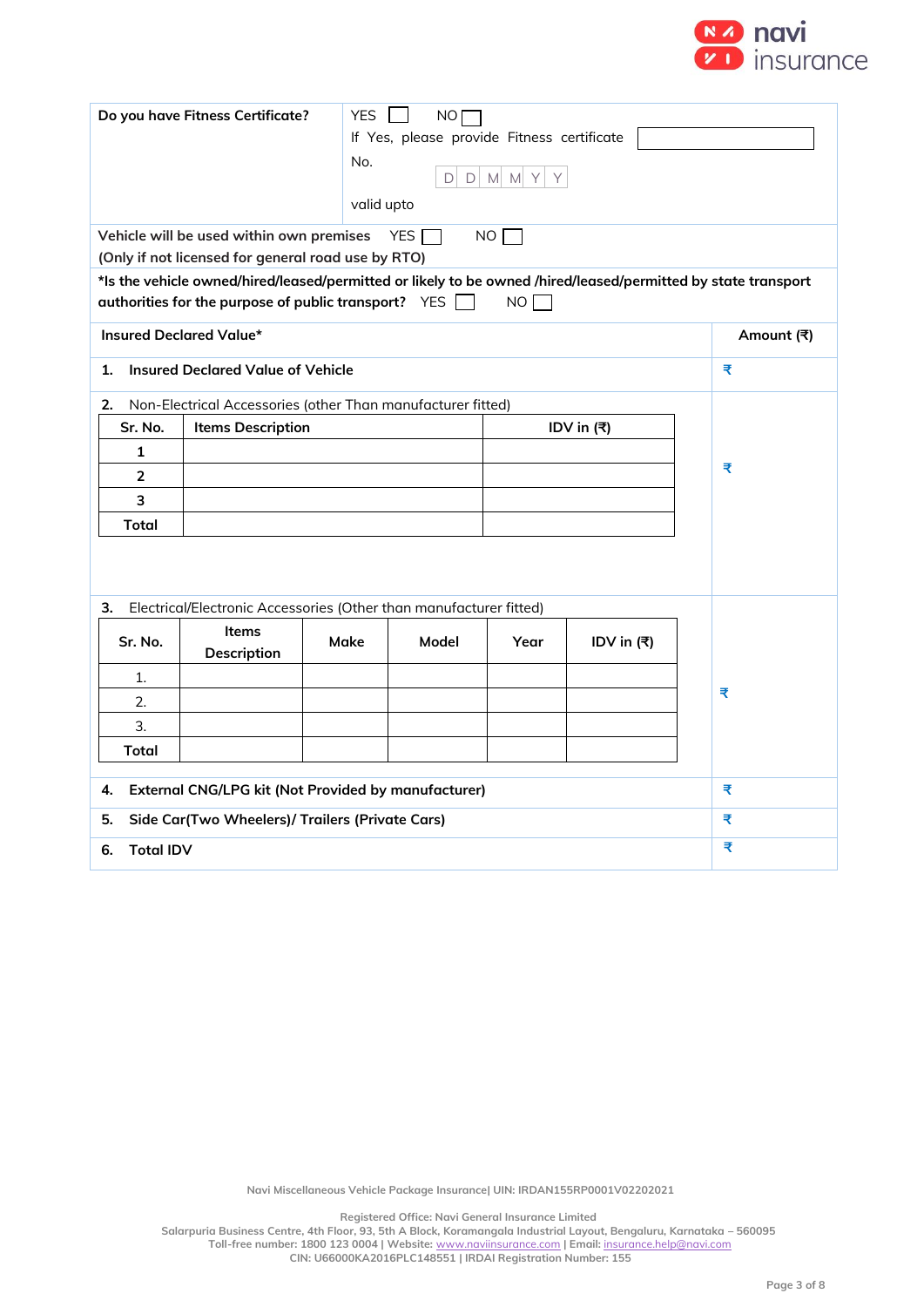

| <b>YES</b><br>Do you have Fitness Certificate?<br>NO<br>If Yes, please provide Fitness certificate<br>No.<br>$D$ M M Y<br>D<br>Y<br>valid upto<br>Vehicle will be used within own premises<br>YES I<br>NO <sub>1</sub> |                                                                    |      |       |      |            |                                                                                                               |  |  |  |
|------------------------------------------------------------------------------------------------------------------------------------------------------------------------------------------------------------------------|--------------------------------------------------------------------|------|-------|------|------------|---------------------------------------------------------------------------------------------------------------|--|--|--|
|                                                                                                                                                                                                                        | (Only if not licensed for general road use by RTO)                 |      |       |      |            |                                                                                                               |  |  |  |
|                                                                                                                                                                                                                        | authorities for the purpose of public transport? $YES$             |      |       | NO   |            | *Is the vehicle owned/hired/leased/permitted or likely to be owned /hired/leased/permitted by state transport |  |  |  |
| <b>Insured Declared Value*</b>                                                                                                                                                                                         |                                                                    |      |       |      |            | Amount (₹)                                                                                                    |  |  |  |
| 1.                                                                                                                                                                                                                     | <b>Insured Declared Value of Vehicle</b>                           |      |       |      |            | ₹                                                                                                             |  |  |  |
| 2.                                                                                                                                                                                                                     | Non-Electrical Accessories (other Than manufacturer fitted)        |      |       |      |            |                                                                                                               |  |  |  |
| Sr. No.                                                                                                                                                                                                                | <b>Items Description</b><br>IDV in $(3)$                           |      |       |      |            |                                                                                                               |  |  |  |
| 1                                                                                                                                                                                                                      |                                                                    |      |       |      |            |                                                                                                               |  |  |  |
| $\overline{2}$                                                                                                                                                                                                         | ₹                                                                  |      |       |      |            |                                                                                                               |  |  |  |
| 3                                                                                                                                                                                                                      |                                                                    |      |       |      |            |                                                                                                               |  |  |  |
| Total                                                                                                                                                                                                                  |                                                                    |      |       |      |            |                                                                                                               |  |  |  |
| 3.                                                                                                                                                                                                                     | Electrical/Electronic Accessories (Other than manufacturer fitted) |      |       |      |            |                                                                                                               |  |  |  |
| Sr. No.                                                                                                                                                                                                                | <b>Items</b><br><b>Description</b>                                 | Make | Model | Year | IDV in (₹) |                                                                                                               |  |  |  |
| 1.                                                                                                                                                                                                                     |                                                                    |      |       |      |            |                                                                                                               |  |  |  |
| 2.                                                                                                                                                                                                                     |                                                                    |      |       |      |            | ₹                                                                                                             |  |  |  |
| 3.                                                                                                                                                                                                                     |                                                                    |      |       |      |            |                                                                                                               |  |  |  |
| Total                                                                                                                                                                                                                  |                                                                    |      |       |      |            |                                                                                                               |  |  |  |
| <b>External CNG/LPG kit (Not Provided by manufacturer)</b><br>4.                                                                                                                                                       |                                                                    |      |       |      |            | ₹                                                                                                             |  |  |  |
| Side Car(Two Wheelers)/ Trailers (Private Cars)<br>5.                                                                                                                                                                  |                                                                    |      |       |      |            | ₹                                                                                                             |  |  |  |
| <b>Total IDV</b><br>6.                                                                                                                                                                                                 |                                                                    |      |       |      |            | ₹                                                                                                             |  |  |  |

**Registered Office: Navi General Insurance Limited**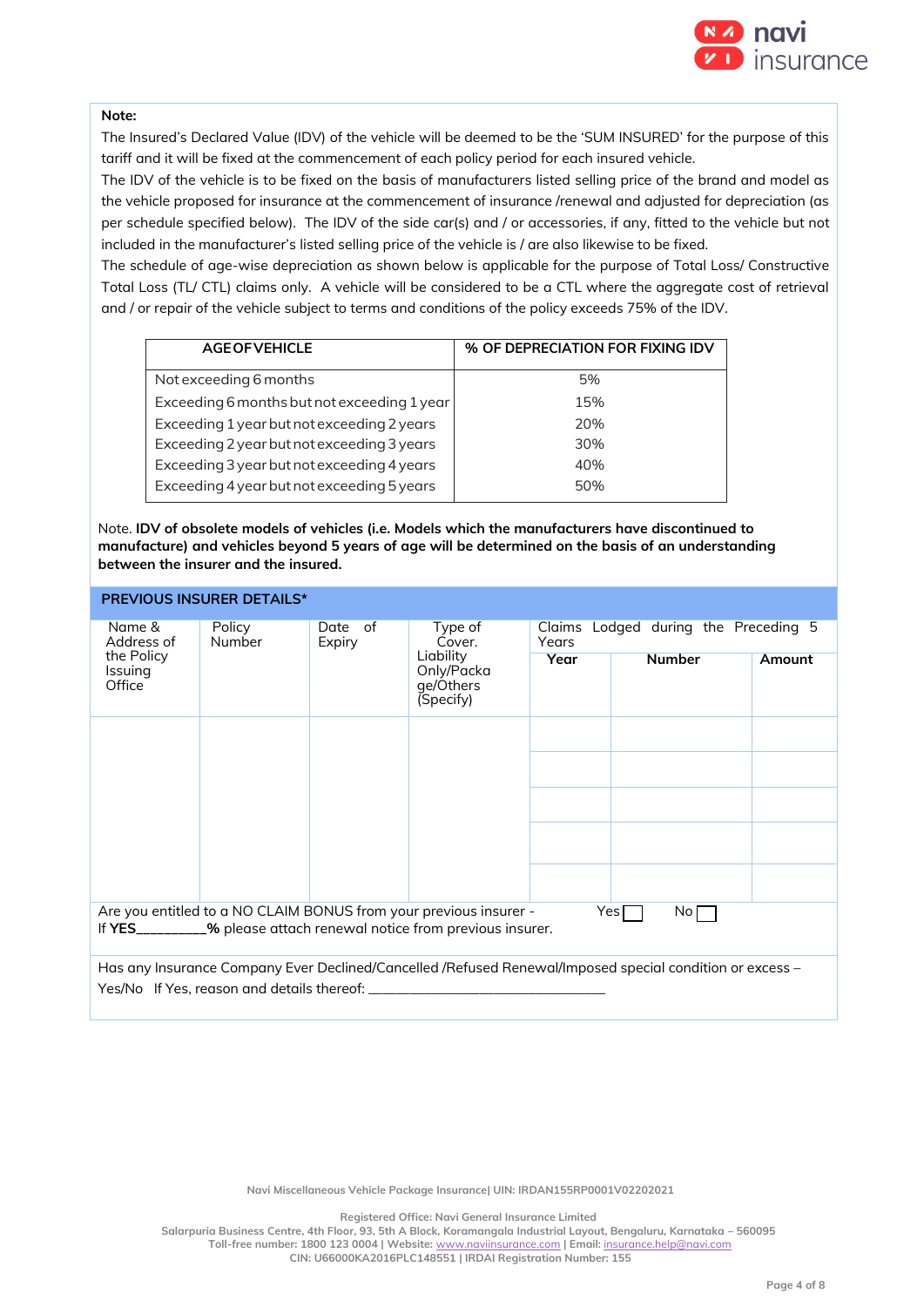

#### **Note:**

The Insured's Declared Value (IDV) of the vehicle will be deemed to be the 'SUM INSURED' for the purpose of this tariff and it will be fixed at the commencement of each policy period for each insured vehicle.

The IDV of the vehicle is to be fixed on the basis of manufacturers listed selling price of the brand and model as the vehicle proposed for insurance at the commencement of insurance /renewal and adjusted for depreciation (as per schedule specified below). The IDV of the side car(s) and / or accessories, if any, fitted to the vehicle but not included in the manufacturer's listed selling price of the vehicle is / are also likewise to be fixed.

The schedule of age-wise depreciation as shown below is applicable for the purpose of Total Loss/ Constructive Total Loss (TL/ CTL) claims only. A vehicle will be considered to be a CTL where the aggregate cost of retrieval and / or repair of the vehicle subject to terms and conditions of the policy exceeds 75% of the IDV.

| <b>AGE OF VEHICLE</b>                       | % OF DEPRECIATION FOR FIXING IDV |
|---------------------------------------------|----------------------------------|
| Not exceeding 6 months                      | 5%                               |
| Exceeding 6 months but not exceeding 1 year | 15%                              |
| Exceeding 1 year but not exceeding 2 years  | 20%                              |
| Exceeding 2 year but not exceeding 3 years  | 30%                              |
| Exceeding 3 year but not exceeding 4 years  | 40%                              |
| Exceeding 4 year but not exceeding 5 years  | 50%                              |

Note. **IDV of obsolete models of vehicles (i.e. Models which the manufacturers have discontinued to manufacture) and vehicles beyond 5 years of age will be determined on the basis of an understanding between the insurer and the insured.**

|                                                                                                         | <b>PREVIOUS INSURER DETAILS*</b>                  |      |                                                                                                                                           |                                                  |                                                                                                          |  |  |
|---------------------------------------------------------------------------------------------------------|---------------------------------------------------|------|-------------------------------------------------------------------------------------------------------------------------------------------|--------------------------------------------------|----------------------------------------------------------------------------------------------------------|--|--|
| Date of<br>Name &<br>Policy<br>Address of<br>Number<br>Expiry<br>the Policy<br><b>Issuing</b><br>Office |                                                   |      | Type of<br>Cover.                                                                                                                         | Lodged during the Preceding 5<br>Claims<br>Years |                                                                                                          |  |  |
|                                                                                                         | Liability<br>Only/Packa<br>ge/Others<br>(Specify) | Year | <b>Number</b>                                                                                                                             | Amount                                           |                                                                                                          |  |  |
|                                                                                                         |                                                   |      |                                                                                                                                           |                                                  |                                                                                                          |  |  |
|                                                                                                         |                                                   |      |                                                                                                                                           |                                                  |                                                                                                          |  |  |
|                                                                                                         |                                                   |      |                                                                                                                                           |                                                  |                                                                                                          |  |  |
|                                                                                                         |                                                   |      |                                                                                                                                           |                                                  |                                                                                                          |  |  |
|                                                                                                         |                                                   |      |                                                                                                                                           |                                                  |                                                                                                          |  |  |
|                                                                                                         |                                                   |      | Are you entitled to a NO CLAIM BONUS from your previous insurer -<br>If YES_________% please attach renewal notice from previous insurer. |                                                  | Yes $\mathsf{\Gamma}$<br>$\mathsf{No}\,\Gamma$                                                           |  |  |
|                                                                                                         |                                                   |      |                                                                                                                                           |                                                  | Has any Insurance Company Ever Declined/Cancelled /Refused Renewal/Imposed special condition or excess – |  |  |
|                                                                                                         | Yes/No If Yes, reason and details thereof:        |      |                                                                                                                                           |                                                  |                                                                                                          |  |  |

**Navi Miscellaneous Vehicle Package Insurance| UIN: IRDAN155RP0001V02202021**

**Registered Office: Navi General Insurance Limited**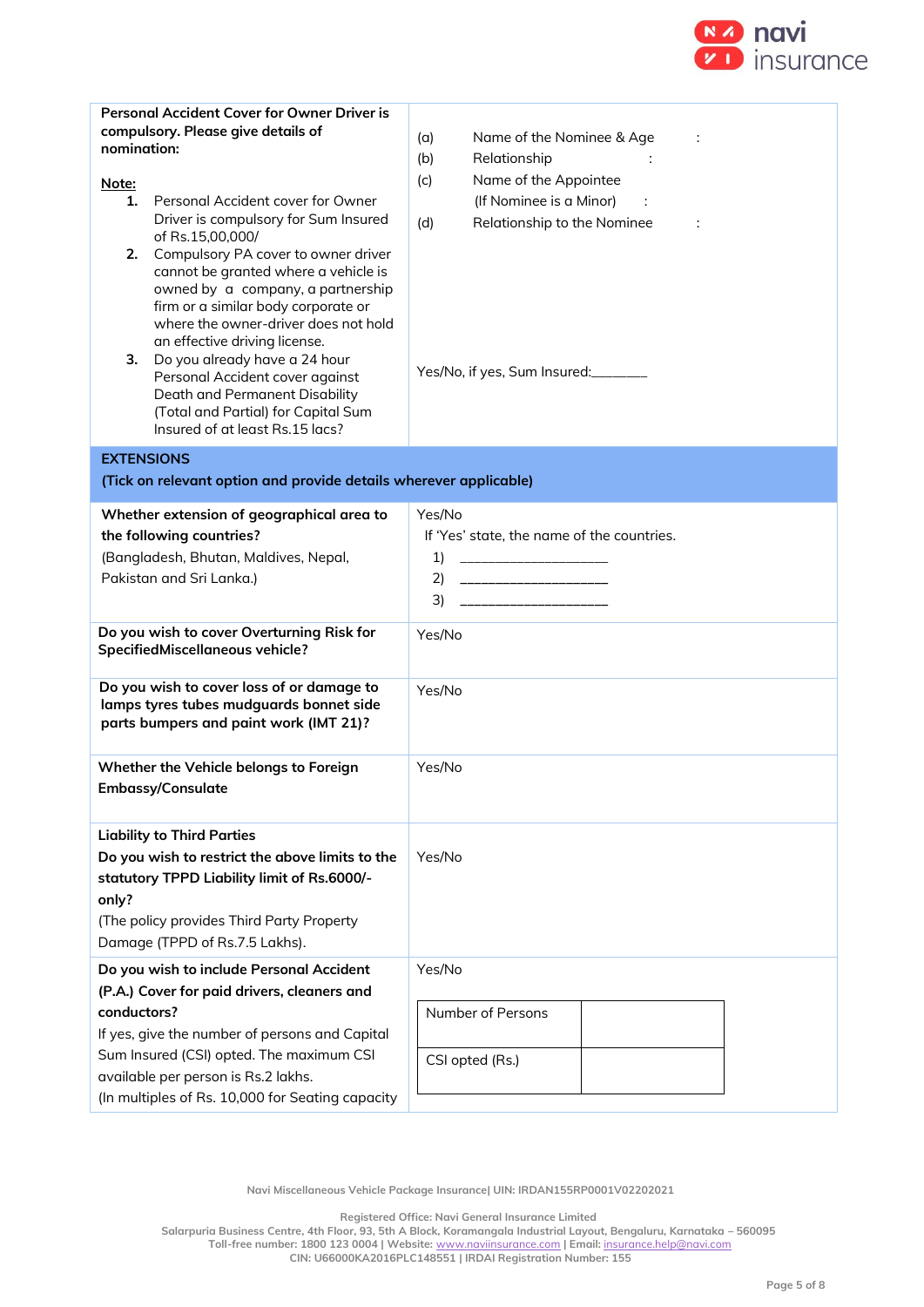

|                                          | <b>Personal Accident Cover for Owner Driver is</b>                           |                                            |  |  |  |  |
|------------------------------------------|------------------------------------------------------------------------------|--------------------------------------------|--|--|--|--|
|                                          | compulsory. Please give details of                                           | Name of the Nominee & Age<br>(a)           |  |  |  |  |
| nomination:                              |                                                                              | Relationship<br>(b)                        |  |  |  |  |
|                                          |                                                                              | Name of the Appointee<br>(c)               |  |  |  |  |
| <u>Note:</u><br>1.                       | Personal Accident cover for Owner                                            | (If Nominee is a Minor)                    |  |  |  |  |
|                                          | Driver is compulsory for Sum Insured                                         |                                            |  |  |  |  |
|                                          | of Rs.15,00,000/                                                             | Relationship to the Nominee<br>(d)<br>÷    |  |  |  |  |
| 2.                                       | Compulsory PA cover to owner driver                                          |                                            |  |  |  |  |
|                                          | cannot be granted where a vehicle is                                         |                                            |  |  |  |  |
|                                          | owned by a company, a partnership                                            |                                            |  |  |  |  |
|                                          | firm or a similar body corporate or                                          |                                            |  |  |  |  |
|                                          | where the owner-driver does not hold                                         |                                            |  |  |  |  |
| 3.                                       | an effective driving license.<br>Do you already have a 24 hour               |                                            |  |  |  |  |
|                                          | Personal Accident cover against                                              | Yes/No, if yes, Sum Insured:               |  |  |  |  |
|                                          | Death and Permanent Disability                                               |                                            |  |  |  |  |
|                                          | (Total and Partial) for Capital Sum                                          |                                            |  |  |  |  |
|                                          | Insured of at least Rs.15 lacs?                                              |                                            |  |  |  |  |
|                                          | <b>EXTENSIONS</b>                                                            |                                            |  |  |  |  |
|                                          | (Tick on relevant option and provide details wherever applicable)            |                                            |  |  |  |  |
|                                          |                                                                              |                                            |  |  |  |  |
|                                          | Whether extension of geographical area to                                    | Yes/No                                     |  |  |  |  |
|                                          | the following countries?                                                     | If 'Yes' state, the name of the countries. |  |  |  |  |
|                                          | (Bangladesh, Bhutan, Maldives, Nepal,                                        | 1)                                         |  |  |  |  |
|                                          | Pakistan and Sri Lanka.)                                                     | 2)                                         |  |  |  |  |
|                                          |                                                                              | _________________________<br>3)            |  |  |  |  |
|                                          |                                                                              |                                            |  |  |  |  |
|                                          | Do you wish to cover Overturning Risk for<br>SpecifiedMiscellaneous vehicle? | Yes/No                                     |  |  |  |  |
|                                          |                                                                              |                                            |  |  |  |  |
|                                          | Do you wish to cover loss of or damage to                                    | Yes/No                                     |  |  |  |  |
|                                          | lamps tyres tubes mudguards bonnet side                                      |                                            |  |  |  |  |
|                                          | parts bumpers and paint work (IMT 21)?                                       |                                            |  |  |  |  |
|                                          |                                                                              |                                            |  |  |  |  |
|                                          | Whether the Vehicle belongs to Foreign                                       | Yes/No                                     |  |  |  |  |
|                                          | <b>Embassy/Consulate</b>                                                     |                                            |  |  |  |  |
|                                          |                                                                              |                                            |  |  |  |  |
|                                          | <b>Liability to Third Parties</b>                                            |                                            |  |  |  |  |
|                                          | Do you wish to restrict the above limits to the                              | Yes/No                                     |  |  |  |  |
|                                          |                                                                              |                                            |  |  |  |  |
|                                          | statutory TPPD Liability limit of Rs.6000/-                                  |                                            |  |  |  |  |
| only?                                    |                                                                              |                                            |  |  |  |  |
|                                          | (The policy provides Third Party Property                                    |                                            |  |  |  |  |
|                                          | Damage (TPPD of Rs.7.5 Lakhs).                                               |                                            |  |  |  |  |
| Do you wish to include Personal Accident |                                                                              | Yes/No                                     |  |  |  |  |
|                                          | (P.A.) Cover for paid drivers, cleaners and                                  |                                            |  |  |  |  |
| conductors?                              |                                                                              | Number of Persons                          |  |  |  |  |
|                                          | If yes, give the number of persons and Capital                               |                                            |  |  |  |  |
|                                          | Sum Insured (CSI) opted. The maximum CSI                                     | CSI opted (Rs.)                            |  |  |  |  |
|                                          | available per person is Rs.2 lakhs.                                          |                                            |  |  |  |  |
|                                          | (In multiples of Rs. 10,000 for Seating capacity                             |                                            |  |  |  |  |
|                                          |                                                                              |                                            |  |  |  |  |

**Registered Office: Navi General Insurance Limited**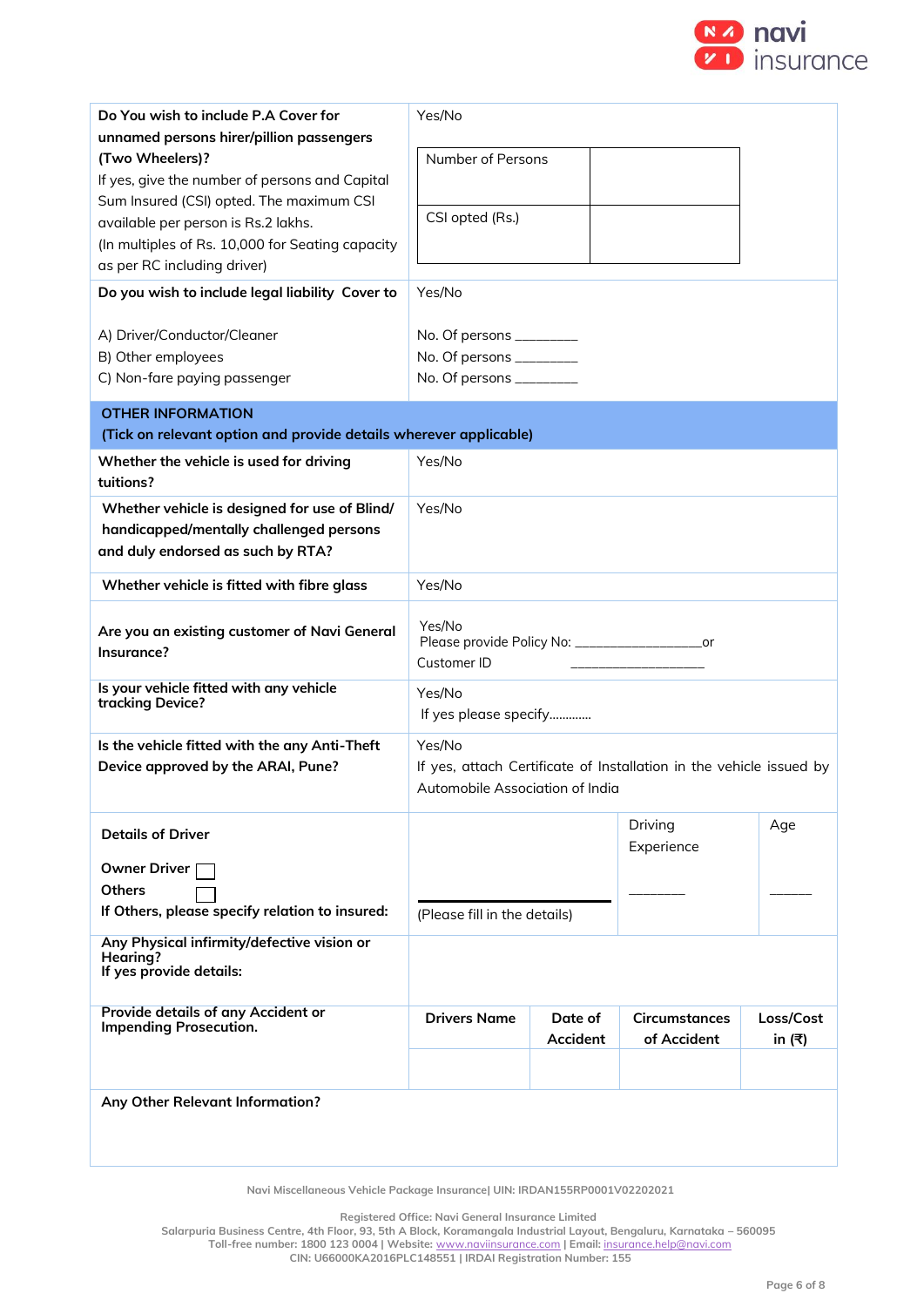

| Do You wish to include P.A Cover for<br>unnamed persons hirer/pillion passengers<br>(Two Wheelers)?<br>If yes, give the number of persons and Capital<br>Sum Insured (CSI) opted. The maximum CSI<br>available per person is Rs.2 lakhs.<br>(In multiples of Rs. 10,000 for Seating capacity<br>as per RC including driver)<br>Do you wish to include legal liability Cover to<br>A) Driver/Conductor/Cleaner<br>B) Other employees | Yes/No<br>Number of Persons<br>CSI opted (Rs.)<br>Yes/No<br>No. Of persons __________<br>No. Of persons __________ |                     |                              |                     |  |
|-------------------------------------------------------------------------------------------------------------------------------------------------------------------------------------------------------------------------------------------------------------------------------------------------------------------------------------------------------------------------------------------------------------------------------------|--------------------------------------------------------------------------------------------------------------------|---------------------|------------------------------|---------------------|--|
| C) Non-fare paying passenger                                                                                                                                                                                                                                                                                                                                                                                                        | No. Of persons __________                                                                                          |                     |                              |                     |  |
| <b>OTHER INFORMATION</b><br>(Tick on relevant option and provide details wherever applicable)                                                                                                                                                                                                                                                                                                                                       |                                                                                                                    |                     |                              |                     |  |
| Whether the vehicle is used for driving                                                                                                                                                                                                                                                                                                                                                                                             | Yes/No                                                                                                             |                     |                              |                     |  |
| tuitions?                                                                                                                                                                                                                                                                                                                                                                                                                           |                                                                                                                    |                     |                              |                     |  |
| Whether vehicle is designed for use of Blind/<br>handicapped/mentally challenged persons<br>and duly endorsed as such by RTA?                                                                                                                                                                                                                                                                                                       | Yes/No                                                                                                             |                     |                              |                     |  |
| Whether vehicle is fitted with fibre glass                                                                                                                                                                                                                                                                                                                                                                                          | Yes/No                                                                                                             |                     |                              |                     |  |
| Are you an existing customer of Navi General<br>Insurance?                                                                                                                                                                                                                                                                                                                                                                          | Yes/No<br>Please provide Policy No: _______________________or<br>Customer ID                                       |                     |                              |                     |  |
| Is your vehicle fitted with any vehicle<br>tracking Device?                                                                                                                                                                                                                                                                                                                                                                         | Yes/No<br>If yes please specify                                                                                    |                     |                              |                     |  |
| Is the vehicle fitted with the any Anti-Theft<br>Device approved by the ARAI, Pune?                                                                                                                                                                                                                                                                                                                                                 | Yes/No<br>If yes, attach Certificate of Installation in the vehicle issued by<br>Automobile Association of India   |                     |                              |                     |  |
| <b>Details of Driver</b>                                                                                                                                                                                                                                                                                                                                                                                                            |                                                                                                                    |                     | Driving<br>Experience        | Age                 |  |
| <b>Owner Driver</b>                                                                                                                                                                                                                                                                                                                                                                                                                 |                                                                                                                    |                     |                              |                     |  |
| <b>Others</b><br>If Others, please specify relation to insured:                                                                                                                                                                                                                                                                                                                                                                     | (Please fill in the details)                                                                                       |                     |                              |                     |  |
| Any Physical infirmity/defective vision or<br>Hearing?<br>If yes provide details:                                                                                                                                                                                                                                                                                                                                                   |                                                                                                                    |                     |                              |                     |  |
| Provide details of any Accident or<br><b>Impending Prosecution.</b>                                                                                                                                                                                                                                                                                                                                                                 | <b>Drivers Name</b>                                                                                                | Date of<br>Accident | Circumstances<br>of Accident | Loss/Cost<br>in (쿡) |  |
| Any Other Relevant Information?                                                                                                                                                                                                                                                                                                                                                                                                     |                                                                                                                    |                     |                              |                     |  |

**Registered Office: Navi General Insurance Limited**

**Salarpuria Business Centre, 4th Floor, 93, 5th A Block, Koramangala Industrial Layout, Bengaluru, Karnataka – 560095 Toll-free number: 1800 123 0004 | Website:** [www.naviinsurance.com](http://www.naviinsurance.com/) **| Email:** [insurance.help@navi.com](mailto:insurance.help@navi.com)

**CIN: U66000KA2016PLC148551 | IRDAI Registration Number: 155**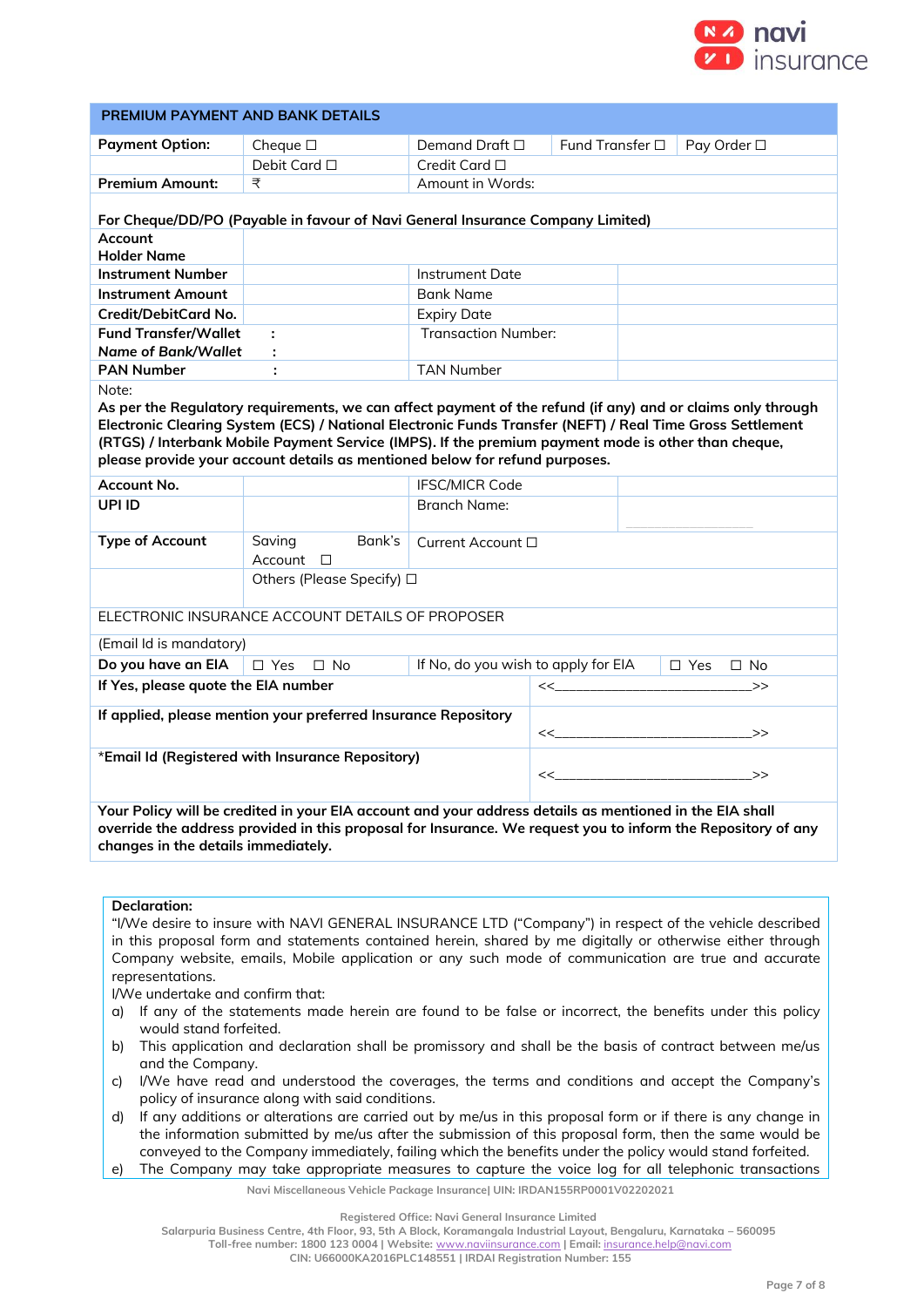

| PREMIUM PAYMENT AND BANK DETAILS                                                                                                                                                                                                                               |                                                                                                             |                            |                                                                |  |                     |  |
|----------------------------------------------------------------------------------------------------------------------------------------------------------------------------------------------------------------------------------------------------------------|-------------------------------------------------------------------------------------------------------------|----------------------------|----------------------------------------------------------------|--|---------------------|--|
| <b>Payment Option:</b>                                                                                                                                                                                                                                         | Cheque $\square$                                                                                            | Demand Draft $\square$     | Fund Transfer □                                                |  | Pay Order □         |  |
|                                                                                                                                                                                                                                                                | Debit Card □                                                                                                | Credit Card □              |                                                                |  |                     |  |
| <b>Premium Amount:</b>                                                                                                                                                                                                                                         | ₹                                                                                                           | Amount in Words:           |                                                                |  |                     |  |
|                                                                                                                                                                                                                                                                | For Cheque/DD/PO (Payable in favour of Navi General Insurance Company Limited)                              |                            |                                                                |  |                     |  |
| Account<br><b>Holder Name</b>                                                                                                                                                                                                                                  |                                                                                                             |                            |                                                                |  |                     |  |
| <b>Instrument Number</b>                                                                                                                                                                                                                                       |                                                                                                             | <b>Instrument Date</b>     |                                                                |  |                     |  |
| <b>Instrument Amount</b>                                                                                                                                                                                                                                       |                                                                                                             | <b>Bank Name</b>           |                                                                |  |                     |  |
| Credit/DebitCard No.                                                                                                                                                                                                                                           |                                                                                                             | <b>Expiry Date</b>         |                                                                |  |                     |  |
| <b>Fund Transfer/Wallet</b><br><b>Name of Bank/Wallet</b>                                                                                                                                                                                                      | ÷<br>÷                                                                                                      | <b>Transaction Number:</b> |                                                                |  |                     |  |
| <b>PAN Number</b>                                                                                                                                                                                                                                              | ÷                                                                                                           | <b>TAN Number</b>          |                                                                |  |                     |  |
| Note:                                                                                                                                                                                                                                                          |                                                                                                             |                            |                                                                |  |                     |  |
|                                                                                                                                                                                                                                                                | As per the Regulatory requirements, we can affect payment of the refund (if any) and or claims only through |                            |                                                                |  |                     |  |
|                                                                                                                                                                                                                                                                | Electronic Clearing System (ECS) / National Electronic Funds Transfer (NEFT) / Real Time Gross Settlement   |                            |                                                                |  |                     |  |
|                                                                                                                                                                                                                                                                | (RTGS) / Interbank Mobile Payment Service (IMPS). If the premium payment mode is other than cheque,         |                            |                                                                |  |                     |  |
|                                                                                                                                                                                                                                                                | please provide your account details as mentioned below for refund purposes.                                 |                            |                                                                |  |                     |  |
| Account No.                                                                                                                                                                                                                                                    |                                                                                                             | <b>IFSC/MICR Code</b>      |                                                                |  |                     |  |
| <b>UPI ID</b>                                                                                                                                                                                                                                                  |                                                                                                             | Branch Name:               |                                                                |  |                     |  |
| <b>Type of Account</b>                                                                                                                                                                                                                                         | Bank's<br>Saving<br>$Account$ $\Box$                                                                        | Current Account □          |                                                                |  |                     |  |
|                                                                                                                                                                                                                                                                | Others (Please Specify) □                                                                                   |                            |                                                                |  |                     |  |
|                                                                                                                                                                                                                                                                | ELECTRONIC INSURANCE ACCOUNT DETAILS OF PROPOSER                                                            |                            |                                                                |  |                     |  |
| (Email Id is mandatory)                                                                                                                                                                                                                                        |                                                                                                             |                            |                                                                |  |                     |  |
| Do you have an EIA                                                                                                                                                                                                                                             | $\Box$ Yes<br>$\Box$ No                                                                                     |                            | If No, do you wish to apply for EIA<br>$\Box$ Yes<br>$\Box$ No |  |                     |  |
| If Yes, please quote the EIA number                                                                                                                                                                                                                            |                                                                                                             |                            |                                                                |  | >>                  |  |
|                                                                                                                                                                                                                                                                | If applied, please mention your preferred Insurance Repository                                              |                            | <<_______________________>>                                    |  |                     |  |
|                                                                                                                                                                                                                                                                |                                                                                                             |                            |                                                                |  |                     |  |
|                                                                                                                                                                                                                                                                | *Email Id (Registered with Insurance Repository)                                                            |                            |                                                                |  | $\ll$ $\rightarrow$ |  |
|                                                                                                                                                                                                                                                                |                                                                                                             |                            |                                                                |  |                     |  |
| Your Policy will be credited in your EIA account and your address details as mentioned in the EIA shall<br>override the address provided in this proposal for Insurance. We request you to inform the Repository of any<br>changes in the details immediately. |                                                                                                             |                            |                                                                |  |                     |  |
|                                                                                                                                                                                                                                                                |                                                                                                             |                            |                                                                |  |                     |  |

# **Declaration:**

"I/We desire to insure with NAVI GENERAL INSURANCE LTD ("Company") in respect of the vehicle described in this proposal form and statements contained herein, shared by me digitally or otherwise either through Company website, emails, Mobile application or any such mode of communication are true and accurate representations.

I/We undertake and confirm that:

- a) If any of the statements made herein are found to be false or incorrect, the benefits under this policy would stand forfeited.
- b) This application and declaration shall be promissory and shall be the basis of contract between me/us and the Company.
- c) I/We have read and understood the coverages, the terms and conditions and accept the Company's policy of insurance along with said conditions.
- d) If any additions or alterations are carried out by me/us in this proposal form or if there is any change in the information submitted by me/us after the submission of this proposal form, then the same would be conveyed to the Company immediately, failing which the benefits under the policy would stand forfeited.

e) The Company may take appropriate measures to capture the voice log for all telephonic transactions

**Navi Miscellaneous Vehicle Package Insurance| UIN: IRDAN155RP0001V02202021**

**Registered Office: Navi General Insurance Limited**

**Salarpuria Business Centre, 4th Floor, 93, 5th A Block, Koramangala Industrial Layout, Bengaluru, Karnataka – 560095 Toll-free number: 1800 123 0004 | Website:** [www.naviinsurance.com](http://www.naviinsurance.com/) **| Email:** [insurance.help@navi.com](mailto:insurance.help@navi.com)

**CIN: U66000KA2016PLC148551 | IRDAI Registration Number: 155**